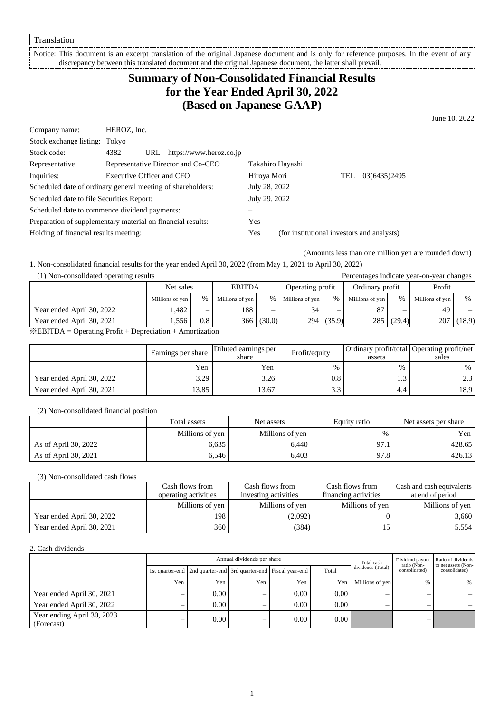Notice: This document is an excerpt translation of the original Japanese document and is only for reference purposes. In the event of any discrepancy between this translated document and the original Japanese document, the latter shall prevail.

# **Summary of Non-Consolidated Financial Results for the Year Ended April 30, 2022 (Based on Japanese GAAP)**

June 10, 2022

| Company name:                                               | HEROZ, Inc.                        |                             |               |                                            |     |              |
|-------------------------------------------------------------|------------------------------------|-----------------------------|---------------|--------------------------------------------|-----|--------------|
| Stock exchange listing: Tokyo                               |                                    |                             |               |                                            |     |              |
| Stock code:                                                 | 4382                               | URL https://www.heroz.co.jp |               |                                            |     |              |
| Representative:                                             | Representative Director and Co-CEO |                             |               | Takahiro Hayashi                           |     |              |
| Inquiries:                                                  | Executive Officer and CFO          |                             | Hiroya Mori   |                                            | TEL | 03(6435)2495 |
| Scheduled date of ordinary general meeting of shareholders: |                                    |                             | July 28, 2022 |                                            |     |              |
| Scheduled date to file Securities Report:                   |                                    | July 29, 2022               |               |                                            |     |              |
| Scheduled date to commence dividend payments:               |                                    |                             |               |                                            |     |              |
| Preparation of supplementary material on financial results: |                                    |                             | Yes           |                                            |     |              |
| Holding of financial results meeting:                       |                                    |                             | Yes           | (for institutional investors and analysts) |     |              |
|                                                             |                                    |                             |               |                                            |     |              |

(Amounts less than one million yen are rounded down)

1. Non-consolidated financial results for the year ended April 30, 2022 (from May 1, 2021 to April 30, 2022)

### (1) Non-consolidated operating results Percentages indicate year-on-year changes

|                           | <b>EBITDA</b><br>Net sales |         | Operating profit |                          | Ordinary profit |                   | Profit          |        |                 |                                |
|---------------------------|----------------------------|---------|------------------|--------------------------|-----------------|-------------------|-----------------|--------|-----------------|--------------------------------|
|                           | Millions of yen            | $\%$    | Millions of yen  | $\frac{0}{0}$            | Millions of yen | $\%$              | Millions of yen | $\%$   | Millions of yen | $\%$                           |
| Year ended April 30, 2022 | .482                       | –       | 188              | $\overline{\phantom{0}}$ | 34              | -                 | 87              | –      | 49              | $\qquad \qquad \longleftarrow$ |
| Year ended April 30, 2021 | 1,556                      | $0.8\,$ | 366              | (30.0)                   |                 | $294 \mid (35.9)$ | 285             | (29.4) | 207             | (18.9)                         |

※EBITDA = Operating Profit + Depreciation + Amortization

|                           | Earnings per share | Diluted earnings per<br>share | Profit/equity | assets | Ordinary profit/total Operating profit/net<br>sales |
|---------------------------|--------------------|-------------------------------|---------------|--------|-----------------------------------------------------|
|                           | Yen                | Yen                           | $\%$          | %      | %                                                   |
| Year ended April 30, 2022 | 3.29               | 3.26                          | $0.8\,$       | ر. 1   | n 2                                                 |
| Year ended April 30, 2021 | 3.85               | 3.67                          | 3.3           | 4.4    | 18.9                                                |

#### (2) Non-consolidated financial position

|                      | Total assets    | Net assets      | Equity ratio | Net assets per share |  |
|----------------------|-----------------|-----------------|--------------|----------------------|--|
|                      | Millions of yen | Millions of yen | %            | Yen                  |  |
| As of April 30, 2022 | 6,635           | 6,440           | 97.1         | 428.65               |  |
| As of April 30, 2021 | 6.546           | 6,403           | 97.8         | 426.13               |  |

# (3) Non-consolidated cash flows

|                           | Cash flows from      | Cash flows from      | Cash flows from      | Cash and cash equivalents |
|---------------------------|----------------------|----------------------|----------------------|---------------------------|
|                           | operating activities | investing activities | financing activities | at end of period          |
|                           | Millions of yen      | Millions of yen      | Millions of yen      | Millions of yen           |
| Year ended April 30, 2022 | 198                  | (2,092)              |                      | 3,660                     |
| Year ended April 30, 2021 | 360                  | (384)                |                      | 5,554                     |

#### 2. Cash dividends

|                                          |                          |                                                                       | Annual dividends per share | Total cash | Dividend payout<br>ratio (Non- | Ratio of dividends<br>to net assets (Non- |                          |               |
|------------------------------------------|--------------------------|-----------------------------------------------------------------------|----------------------------|------------|--------------------------------|-------------------------------------------|--------------------------|---------------|
|                                          |                          | 1st quarter-end   2nd quarter-end   3rd quarter-end   Fiscal year-end |                            |            | Total                          | dividends (Total)                         | consolidated)            | consolidated) |
|                                          | Yen                      | Yen                                                                   | Yen                        | Yen        | Yen                            | Millions of yen                           | %                        | %             |
| Year ended April 30, 2021                | $\overline{\phantom{0}}$ | $0.00\,$                                                              | —                          | $0.00\,$   | 0.00                           | $\overline{\phantom{0}}$                  | –                        |               |
| Year ended April 30, 2022                | –                        | 0.00                                                                  | –                          | $0.00\,$   | 0.00                           | $\overline{\phantom{0}}$                  | $\overline{\phantom{0}}$ |               |
| Year ending April 30, 2023<br>(Forecast) | –                        | $0.00\,$                                                              | –                          | $0.00\,$   | $0.00\,$                       |                                           | $\overline{\phantom{0}}$ |               |